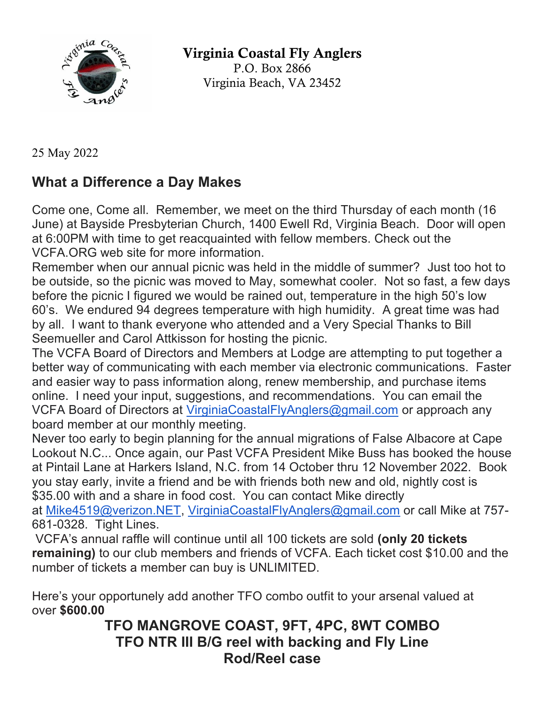

Virginia Coastal Fly Anglers P.O. Box 2866 Virginia Beach, VA 23452

25 May 2022

## **What a Difference a Day Makes**

Come one, Come all. Remember, we meet on the third Thursday of each month (16 June) at Bayside Presbyterian Church, 1400 Ewell Rd, Virginia Beach. Door will open at 6:00PM with time to get reacquainted with fellow members. Check out the VCFA.ORG web site for more information.

Remember when our annual picnic was held in the middle of summer? Just too hot to be outside, so the picnic was moved to May, somewhat cooler. Not so fast, a few days before the picnic I figured we would be rained out, temperature in the high 50's low 60's. We endured 94 degrees temperature with high humidity. A great time was had by all. I want to thank everyone who attended and a Very Special Thanks to Bill Seemueller and Carol Attkisson for hosting the picnic.

The VCFA Board of Directors and Members at Lodge are attempting to put together a better way of communicating with each member via electronic communications. Faster and easier way to pass information along, renew membership, and purchase items online. I need your input, suggestions, and recommendations. You can email the VCFA Board of Directors at VirginiaCoastalFlyAnglers@gmail.com or approach any board member at our monthly meeting.

Never too early to begin planning for the annual migrations of False Albacore at Cape Lookout N.C... Once again, our Past VCFA President Mike Buss has booked the house at Pintail Lane at Harkers Island, N.C. from 14 October thru 12 November 2022. Book you stay early, invite a friend and be with friends both new and old, nightly cost is \$35.00 with and a share in food cost. You can contact Mike directly

at Mike4519@verizon.NET, VirginiaCoastalFlyAnglers@gmail.com or call Mike at 757- 681-0328. Tight Lines.

VCFA's annual raffle will continue until all 100 tickets are sold **(only 20 tickets remaining)** to our club members and friends of VCFA. Each ticket cost \$10.00 and the number of tickets a member can buy is UNLIMITED.

Here's your opportunely add another TFO combo outfit to your arsenal valued at over **\$600.00**

## **TFO MANGROVE COAST, 9FT, 4PC, 8WT COMBO TFO NTR III B/G reel with backing and Fly Line Rod/Reel case**